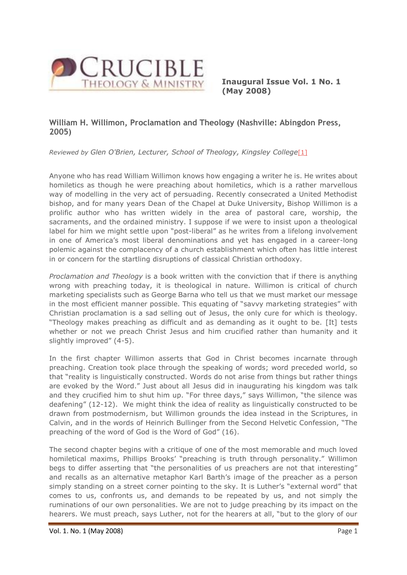

**Inaugural Issue Vol. 1 No. 1 (May 2008)**

## **William H. Willimon, Proclamation and Theology (Nashville: Abingdon Press, 2005)**

*Reviewed by Glen O'Brien, Lecturer, School of Theology, Kingsley College*[\[1\]](http://www.ea.org.au/Crucible/Issues/Willimon--Proclamation-and-Theology#_edn1)

Anyone who has read William Willimon knows how engaging a writer he is. He writes about homiletics as though he were preaching about homiletics, which is a rather marvellous way of modelling in the very act of persuading. Recently consecrated a United Methodist bishop, and for many years Dean of the Chapel at Duke University, Bishop Willimon is a prolific author who has written widely in the area of pastoral care, worship, the sacraments, and the ordained ministry. I suppose if we were to insist upon a theological label for him we might settle upon "post-liberal" as he writes from a lifelong involvement in one of America's most liberal denominations and yet has engaged in a career-long polemic against the complacency of a church establishment which often has little interest in or concern for the startling disruptions of classical Christian orthodoxy.

*Proclamation and Theology* is a book written with the conviction that if there is anything wrong with preaching today, it is theological in nature. Willimon is critical of church marketing specialists such as George Barna who tell us that we must market our message in the most efficient manner possible. This equating of "savvy marketing strategies" with Christian proclamation is a sad selling out of Jesus, the only cure for which is theology. "Theology makes preaching as difficult and as demanding as it ought to be. [It] tests whether or not we preach Christ Jesus and him crucified rather than humanity and it slightly improved" (4-5).

In the first chapter Willimon asserts that God in Christ becomes incarnate through preaching. Creation took place through the speaking of words; word preceded world, so that "reality is linguistically constructed. Words do not arise from things but rather things are evoked by the Word." Just about all Jesus did in inaugurating his kingdom was talk and they crucified him to shut him up. "For three days," says Willimon, "the silence was deafening" (12-12). We might think the idea of reality as linguistically constructed to be drawn from postmodernism, but Willimon grounds the idea instead in the Scriptures, in Calvin, and in the words of Heinrich Bullinger from the Second Helvetic Confession, "The preaching of the word of God is the Word of God" (16).

The second chapter begins with a critique of one of the most memorable and much loved homiletical maxims, Phillips Brooks' "preaching is truth through personality." Willimon begs to differ asserting that "the personalities of us preachers are not that interesting" and recalls as an alternative metaphor Karl Barth's image of the preacher as a person simply standing on a street corner pointing to the sky. It is Luther's "external word" that comes to us, confronts us, and demands to be repeated by us, and not simply the ruminations of our own personalities. We are not to judge preaching by its impact on the hearers. We must preach, says Luther, not for the hearers at all, "but to the glory of our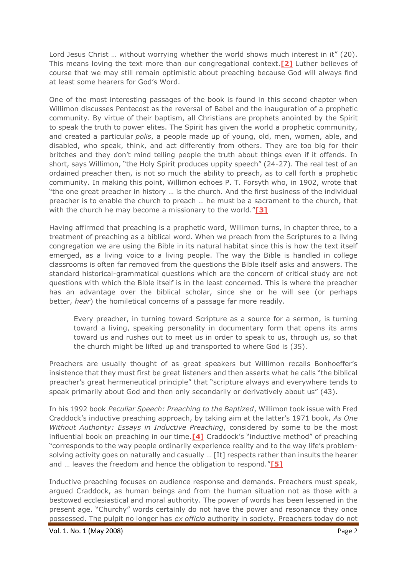Lord Jesus Christ ... without worrying whether the world shows much interest in it" (20). This means loving the text more than our congregational context.**[\[2\]](http://www.ea.org.au/Crucible/Issues/Willimon--Proclamation-and-Theology#_edn2)** Luther believes of course that we may still remain optimistic about preaching because God will always find at least some hearers for God's Word.

One of the most interesting passages of the book is found in this second chapter when Willimon discusses Pentecost as the reversal of Babel and the inauguration of a prophetic community. By virtue of their baptism, all Christians are prophets anointed by the Spirit to speak the truth to power elites. The Spirit has given the world a prophetic community, and created a particular *polis*, a people made up of young, old, men, women, able, and disabled, who speak, think, and act differently from others. They are too big for their britches and they don't mind telling people the truth about things even if it offends. In short, says Willimon, "the Holy Spirit produces uppity speech" (24-27). The real test of an ordained preacher then, is not so much the ability to preach, as to call forth a prophetic community. In making this point, Willimon echoes P. T. Forsyth who, in 1902, wrote that "the one great preacher in history … is the church. And the first business of the individual preacher is to enable the church to preach … he must be a sacrament to the church, that with the church he may become a missionary to the world."**[\[3\]](http://www.ea.org.au/Crucible/Issues/Willimon--Proclamation-and-Theology#_edn3)**

Having affirmed that preaching is a prophetic word, Willimon turns, in chapter three, to a treatment of preaching as a biblical word. When we preach from the Scriptures to a living congregation we are using the Bible in its natural habitat since this is how the text itself emerged, as a living voice to a living people. The way the Bible is handled in college classrooms is often far removed from the questions the Bible itself asks and answers. The standard historical-grammatical questions which are the concern of critical study are not questions with which the Bible itself is in the least concerned. This is where the preacher has an advantage over the biblical scholar, since she or he will see (or perhaps better, *hear*) the homiletical concerns of a passage far more readily.

Every preacher, in turning toward Scripture as a source for a sermon, is turning toward a living, speaking personality in documentary form that opens its arms toward us and rushes out to meet us in order to speak to us, through us, so that the church might be lifted up and transported to where God is (35).

Preachers are usually thought of as great speakers but Willimon recalls Bonhoeffer's insistence that they must first be great listeners and then asserts what he calls "the biblical preacher's great hermeneutical principle" that "scripture always and everywhere tends to speak primarily about God and then only secondarily or derivatively about us" (43).

In his 1992 book *Peculiar Speech: Preaching to the Baptized*, Willimon took issue with Fred Craddock's inductive preaching approach, by taking aim at the latter's 1971 book, *As One Without Authority: Essays in Inductive Preaching*, considered by some to be the most influential book on preaching in our time.**[\[4\]](http://www.ea.org.au/Crucible/Issues/Willimon--Proclamation-and-Theology#_edn4)** Craddock's "inductive method" of preaching "corresponds to the way people ordinarily experience reality and to the way life's problemsolving activity goes on naturally and casually … [It] respects rather than insults the hearer and … leaves the freedom and hence the obligation to respond."**[\[5\]](http://www.ea.org.au/Crucible/Issues/Willimon--Proclamation-and-Theology#_edn5)**

Inductive preaching focuses on audience response and demands. Preachers must speak, argued Craddock, as human beings and from the human situation not as those with a bestowed ecclesiastical and moral authority. The power of words has been lessened in the present age. "Churchy" words certainly do not have the power and resonance they once possessed. The pulpit no longer has *ex officio* authority in society. Preachers today do not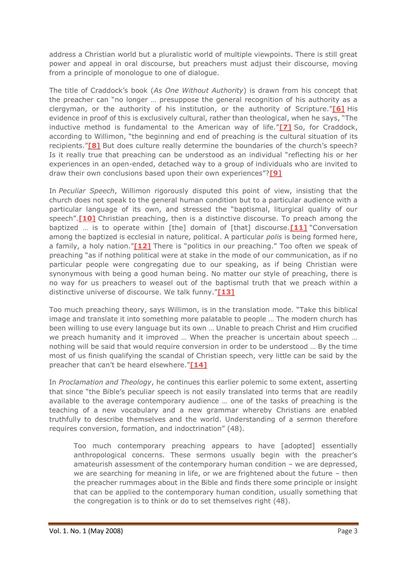address a Christian world but a pluralistic world of multiple viewpoints. There is still great power and appeal in oral discourse, but preachers must adjust their discourse, moving from a principle of monologue to one of dialogue.

The title of Craddock's book (*As One Without Authority*) is drawn from his concept that the preacher can "no longer … presuppose the general recognition of his authority as a clergyman, or the authority of his institution, or the authority of Scripture."**[\[6\]](http://www.ea.org.au/Crucible/Issues/Willimon--Proclamation-and-Theology#_edn6)** His evidence in proof of this is exclusively cultural, rather than theological, when he says, "The inductive method is fundamental to the American way of life."**[\[7\]](http://www.ea.org.au/Crucible/Issues/Willimon--Proclamation-and-Theology#_edn7)** So, for Craddock, according to Willimon, "the beginning and end of preaching is the cultural situation of its recipients."**[\[8\]](http://www.ea.org.au/Crucible/Issues/Willimon--Proclamation-and-Theology#_edn8)** But does culture really determine the boundaries of the church's speech? Is it really true that preaching can be understood as an individual "reflecting his or her experiences in an open-ended, detached way to a group of individuals who are invited to draw their own conclusions based upon their own experiences"?**[\[9\]](http://www.ea.org.au/Crucible/Issues/Willimon--Proclamation-and-Theology#_edn9)**

In *Peculiar Speech*, Willimon rigorously disputed this point of view, insisting that the church does not speak to the general human condition but to a particular audience with a particular language of its own, and stressed the "baptismal, liturgical quality of our speech".**[\[10\]](http://www.ea.org.au/Crucible/Issues/Willimon--Proclamation-and-Theology#_edn10)** Christian preaching, then is a distinctive discourse. To preach among the baptized … is to operate within [the] domain of [that] discourse.**[\[11\]](http://www.ea.org.au/Crucible/Issues/Willimon--Proclamation-and-Theology#_edn11)** "Conversation among the baptized is ecclesial in nature, political. A particular *polis* is being formed here, a family, a holy nation."**[\[12\]](http://www.ea.org.au/Crucible/Issues/Willimon--Proclamation-and-Theology#_edn12)** There is "politics in our preaching." Too often we speak of preaching "as if nothing political were at stake in the mode of our communication, as if no particular people were congregating due to our speaking, as if being Christian were synonymous with being a good human being. No matter our style of preaching, there is no way for us preachers to weasel out of the baptismal truth that we preach within a distinctive universe of discourse. We talk funny."**[\[13\]](http://www.ea.org.au/Crucible/Issues/Willimon--Proclamation-and-Theology#_edn13)**

Too much preaching theory, says Willimon, is in the translation mode. "Take this biblical image and translate it into something more palatable to people … The modern church has been willing to use every language but its own … Unable to preach Christ and Him crucified we preach humanity and it improved … When the preacher is uncertain about speech … nothing will be said that would require conversion in order to be understood … By the time most of us finish qualifying the scandal of Christian speech, very little can be said by the preacher that can't be heard elsewhere."**[\[14\]](http://www.ea.org.au/Crucible/Issues/Willimon--Proclamation-and-Theology#_edn14)**

In *Proclamation and Theology*, he continues this earlier polemic to some extent, asserting that since "the Bible's peculiar speech is not easily translated into terms that are readily available to the average contemporary audience … one of the tasks of preaching is the teaching of a new vocabulary and a new grammar whereby Christians are enabled truthfully to describe themselves and the world. Understanding of a sermon therefore requires conversion, formation, and indoctrination" (48).

Too much contemporary preaching appears to have [adopted] essentially anthropological concerns. These sermons usually begin with the preacher's amateurish assessment of the contemporary human condition – we are depressed, we are searching for meaning in life, or we are frightened about the future – then the preacher rummages about in the Bible and finds there some principle or insight that can be applied to the contemporary human condition, usually something that the congregation is to think or do to set themselves right (48).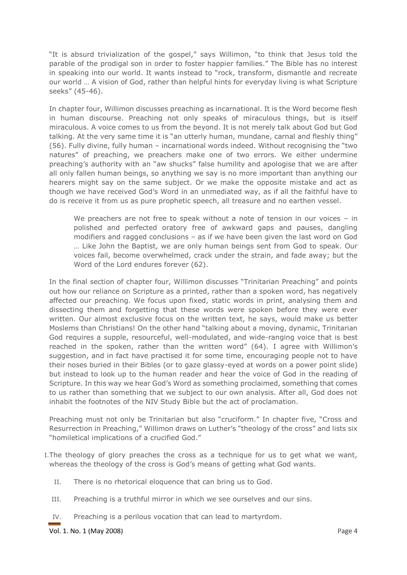"It is absurd trivialization of the gospel," says Willimon, "to think that Jesus told the parable of the prodigal son in order to foster happier families." The Bible has no interest in speaking into our world. It wants instead to "rock, transform, dismantle and recreate our world … A vision of God, rather than helpful hints for everyday living is what Scripture seeks" (45-46).

In chapter four, Willimon discusses preaching as incarnational. It is the Word become flesh in human discourse. Preaching not only speaks of miraculous things, but is itself miraculous. A voice comes to us from the beyond. It is not merely talk about God but God talking. At the very same time it is "an utterly human, mundane, carnal and fleshly thing" (56). Fully divine, fully human – incarnational words indeed. Without recognising the "two natures" of preaching, we preachers make one of two errors. We either undermine preaching's authority with an "aw shucks" false humility and apologise that we are after all only fallen human beings, so anything we say is no more important than anything our hearers might say on the same subject. Or we make the opposite mistake and act as though we have received God's Word in an unmediated way, as if all the faithful have to do is receive it from us as pure prophetic speech, all treasure and no earthen vessel.

We preachers are not free to speak without a note of tension in our voices – in polished and perfected oratory free of awkward gaps and pauses, dangling modifiers and ragged conclusions – as if we have been given the last word on God … Like John the Baptist, we are only human beings sent from God to speak. Our voices fail, become overwhelmed, crack under the strain, and fade away; but the Word of the Lord endures forever (62).

In the final section of chapter four, Willimon discusses "Trinitarian Preaching" and points out how our reliance on Scripture as a printed, rather than a spoken word, has negatively affected our preaching. We focus upon fixed, static words in print, analysing them and dissecting them and forgetting that these words were spoken before they were ever written. Our almost exclusive focus on the written text, he says, would make us better Moslems than Christians! On the other hand "talking about a moving, dynamic, Trinitarian God requires a supple, resourceful, well-modulated, and wide-ranging voice that is best reached in the spoken, rather than the written word" (64). I agree with Willimon's suggestion, and in fact have practised it for some time, encouraging people not to have their noses buried in their Bibles (or to gaze glassy-eyed at words on a power point slide) but instead to look up to the human reader and hear the voice of God in the reading of Scripture. In this way we hear God's Word as something proclaimed, something that comes to us rather than something that we subject to our own analysis. After all, God does not inhabit the footnotes of the NIV Study Bible but the act of proclamation.

Preaching must not only be Trinitarian but also "cruciform." In chapter five, "Cross and Resurrection in Preaching," Willimon draws on Luther's "theology of the cross" and lists six "homiletical implications of a crucified God."

I.The theology of glory preaches the cross as a technique for us to get what we want, whereas the theology of the cross is God's means of getting what God wants.

- II. There is no rhetorical eloquence that can bring us to God.
- III. Preaching is a truthful mirror in which we see ourselves and our sins.
- IV. Preaching is a perilous vocation that can lead to martyrdom.

Vol. 1. No. 1 (May 2008) Page 4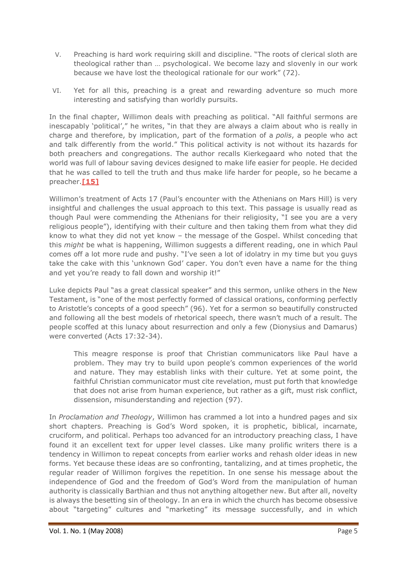- V. Preaching is hard work requiring skill and discipline. "The roots of clerical sloth are theological rather than … psychological. We become lazy and slovenly in our work because we have lost the theological rationale for our work" (72).
- VI. Yet for all this, preaching is a great and rewarding adventure so much more interesting and satisfying than worldly pursuits.

In the final chapter, Willimon deals with preaching as political. "All faithful sermons are inescapably 'political'," he writes, "in that they are always a claim about who is really in charge and therefore, by implication, part of the formation of a *polis*, a people who act and talk differently from the world." This political activity is not without its hazards for both preachers and congregations. The author recalls Kierkegaard who noted that the world was full of labour saving devices designed to make life easier for people. He decided that he was called to tell the truth and thus make life harder for people, so he became a preacher.**[\[15\]](http://www.ea.org.au/Crucible/Issues/Willimon--Proclamation-and-Theology#_edn15)**

Willimon's treatment of Acts 17 (Paul's encounter with the Athenians on Mars Hill) is very insightful and challenges the usual approach to this text. This passage is usually read as though Paul were commending the Athenians for their religiosity, "I see you are a very religious people"), identifying with their culture and then taking them from what they did know to what they did not yet know – the message of the Gospel. Whilst conceding that this *might* be what is happening, Willimon suggests a different reading, one in which Paul comes off a lot more rude and pushy. "I've seen a lot of idolatry in my time but you guys take the cake with this 'unknown God' caper. You don't even have a name for the thing and yet you're ready to fall down and worship it!"

Luke depicts Paul "as a great classical speaker" and this sermon, unlike others in the New Testament, is "one of the most perfectly formed of classical orations, conforming perfectly to Aristotle's concepts of a good speech" (96). Yet for a sermon so beautifully constructed and following all the best models of rhetorical speech, there wasn't much of a result. The people scoffed at this lunacy about resurrection and only a few (Dionysius and Damarus) were converted (Acts 17:32-34).

This meagre response is proof that Christian communicators like Paul have a problem. They may try to build upon people's common experiences of the world and nature. They may establish links with their culture. Yet at some point, the faithful Christian communicator must cite revelation, must put forth that knowledge that does not arise from human experience, but rather as a gift, must risk conflict, dissension, misunderstanding and rejection (97).

In *Proclamation and Theology*, Willimon has crammed a lot into a hundred pages and six short chapters. Preaching is God's Word spoken, it is prophetic, biblical, incarnate, cruciform, and political. Perhaps too advanced for an introductory preaching class, I have found it an excellent text for upper level classes. Like many prolific writers there is a tendency in Willimon to repeat concepts from earlier works and rehash older ideas in new forms. Yet because these ideas are so confronting, tantalizing, and at times prophetic, the regular reader of Willimon forgives the repetition. In one sense his message about the independence of God and the freedom of God's Word from the manipulation of human authority is classically Barthian and thus not anything altogether new. But after all, novelty is always the besetting sin of theology. In an era in which the church has become obsessive about "targeting" cultures and "marketing" its message successfully, and in which